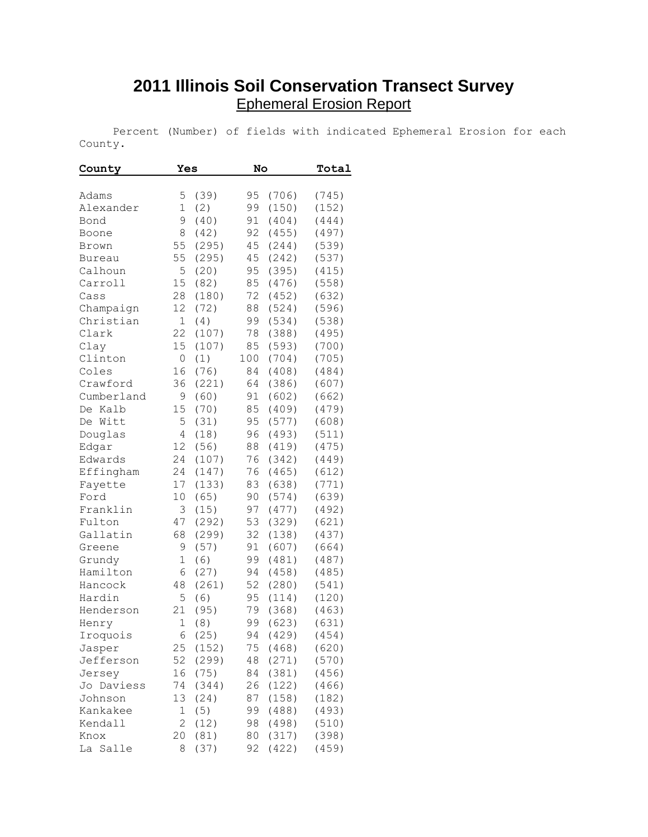## **2011 Illinois Soil Conservation Transect Survey** Ephemeral Erosion Report

 Percent (Number) of fields with indicated Ephemeral Erosion for each County.

| County             | Yes            |               | No  |                | Total          |
|--------------------|----------------|---------------|-----|----------------|----------------|
|                    |                |               |     |                |                |
| Adams              | 5              | (39)          | 95  | (706)          | (745)          |
| Alexander          | $\mathbf 1$    | (2)           | 99  | (150)          | (152)          |
| Bond               | 9              | (40)          | 91  | (404)          | (444)          |
| Boone              | 8              | (42)          | 92  | (455)          | (497)          |
| Brown              | 55             | (295)         | 45  | (244)          | (539)          |
| <b>Bureau</b>      | 55             | (295)         | 45  | (242)          | (537)          |
| Calhoun            | 5              | (20)          | 95  | (395)          | (415)          |
| Carroll            | 15             | (82)          | 85  | (476)          | (558)          |
| Cass               | 28             | (180)         | 72  | (452)          | (632)          |
| Champaign          | 12             | (72)          | 88  | (524)          | (596)          |
| Christian          | $\mathbf 1$    | (4)           | 99  | (534)          | (538)          |
| Clark              | 22             | (107)         | 78  | (388)          | (495)          |
| Clay               | 15             | (107)         | 85  | (593)          | (700)          |
| Clinton            | 0              | (1)           | 100 | (704)          | (705)          |
| Coles              | 16             | (76)          | 84  | (408)          | (484)          |
| Crawford           | 36             | (221)         | 64  | (386)          | (607)          |
| Cumberland         | 9              | (60)          | 91  | (602)          | (662)          |
| Kalb<br>De         | 15             | (70)          | 85  | (409)          | (479)          |
| De Witt            | 5              | (31)          | 95  | (577)          | (608)          |
| Douglas            | 4              | (18)          | 96  | (493)          | (511)          |
| Edgar              | 12             | (56)          | 88  | (419)          | (475)          |
| Edwards            | 24             | (107)         | 76  | (342)          | (449)          |
| Effingham          | 24             | (147)         | 76  | (465)          | (612)          |
| Fayette            | 17             | (133)         | 83  | (638)          | (771)          |
| Ford               | 10             | (65)          | 90  | (574)          | (639)          |
| Franklin           | 3              | (15)          | 97  | (477)          | (492)          |
| Fulton             | 47             | (292)         | 53  | (329)          | (621)          |
| Gallatin           | 68             | (299)         | 32  | (138)          | (437)          |
| Greene             | 9              | (57)          | 91  | (607)          | (664)          |
| Grundy             | 1              | (6)           | 99  | (481)          | (487)          |
| Hamilton           | 6              | (27)          | 94  | (458)          | (485)          |
| Hancock            | 48             | (261)         | 52  | (280)          | (541)          |
| Hardin             | 5              | (6)           | 95  | (114)          | (120)          |
| Henderson          | 21             | (95)          | 79  | (368)          | (463)          |
| Henry              | 1              | (8)           | 99  | (623)          | (631)          |
|                    | 6              |               | 94  |                |                |
| Iroquois<br>Jasper | 25             | (25)<br>(152) | 75  | (429)<br>(468) | (454)<br>(620) |
| Jefferson          | 52             | (299)         |     | (271)          | (570)          |
|                    | 16             | (75)          | 48  | (381)          |                |
| Jersey             |                |               | 84  |                | (456)          |
| Jo Daviess         | 74             | (344)         | 26  | (122)          | (466)          |
| Johnson            | 13             | (24)          | 87  | (158)          | (182)          |
| Kankakee           | 1              | (5)           | 99  | (488)          | (493)          |
| Kendall            | $\overline{2}$ | (12)          | 98  | (498)          | (510)          |
| Knox               | 20             | (81)          | 80  | (317)          | (398)          |
| La<br>Salle        | 8              | (37)          | 92  | (422)          | (459)          |